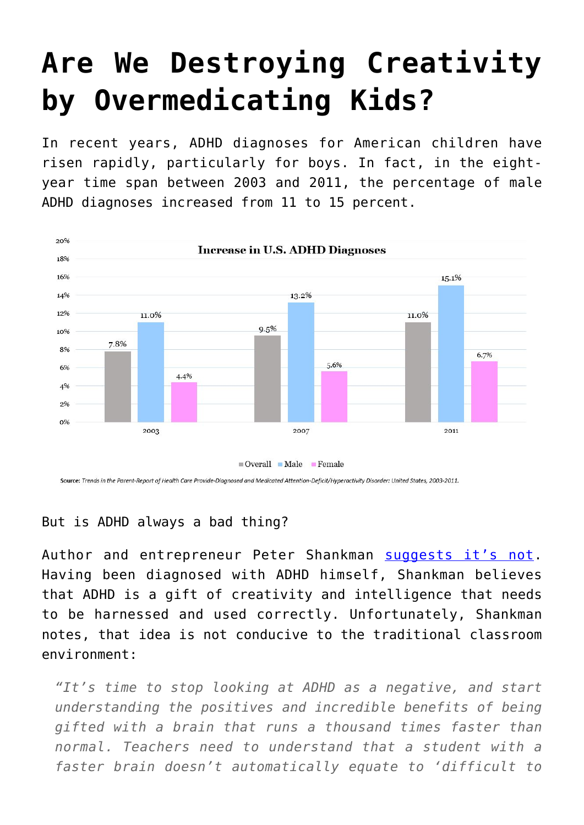## **[Are We Destroying Creativity](https://intellectualtakeout.org/2016/05/are-we-destroying-creativity-by-overmedicating-kids/) [by Overmedicating Kids?](https://intellectualtakeout.org/2016/05/are-we-destroying-creativity-by-overmedicating-kids/)**

In recent years, ADHD diagnoses for American children have risen rapidly, particularly for boys. In fact, in the eightyear time span between 2003 and 2011, the percentage of male ADHD diagnoses increased from 11 to 15 percent.



## But is ADHD always a bad thing?

Author and entrepreneur Peter Shankman [suggests it's not.](http://nypost.com/2016/05/11/stop-drugging-adhd-kids-and-start-teaching-them-to-use-their-gifts/) Having been diagnosed with ADHD himself, Shankman believes that ADHD is a gift of creativity and intelligence that needs to be harnessed and used correctly. Unfortunately, Shankman notes, that idea is not conducive to the traditional classroom environment:

*"It's time to stop looking at ADHD as a negative, and start understanding the positives and incredible benefits of being gifted with a brain that runs a thousand times faster than normal. Teachers need to understand that a student with a faster brain doesn't automatically equate to 'difficult to*